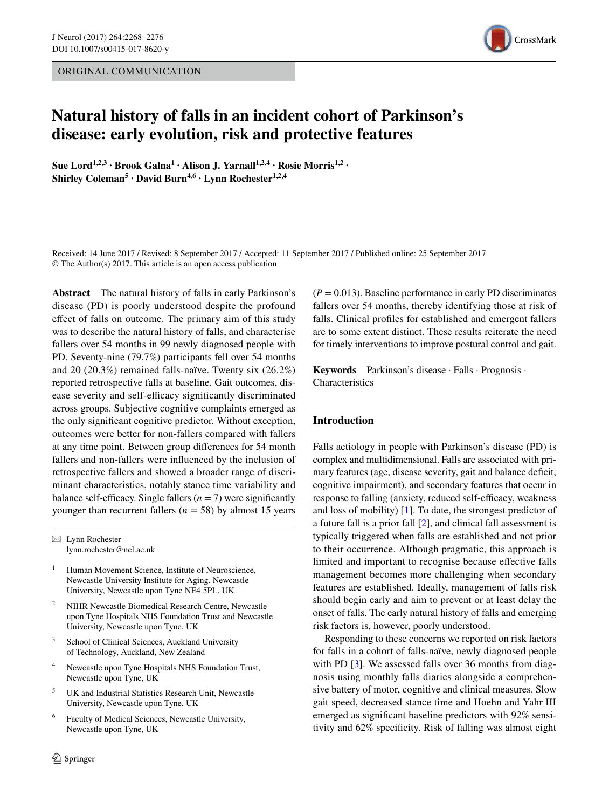ORIGINAL COMMUNICATION



# **Natural history of falls in an incident cohort of Parkinson's disease: early evolution, risk and protective features**

Sue Lord<sup>1,2,3</sup> · Brook Galna<sup>1</sup> · Alison J. Yarnall<sup>1,2,4</sup> · Rosie Morris<sup>1,2</sup> · **Shirley Coleman<sup>5</sup> · David Burn4,6 · Lynn Rochester1,2,4**

Received: 14 June 2017 / Revised: 8 September 2017 / Accepted: 11 September 2017 / Published online: 25 September 2017 © The Author(s) 2017. This article is an open access publication

**Abstract** The natural history of falls in early Parkinson's disease (PD) is poorly understood despite the profound efect of falls on outcome. The primary aim of this study was to describe the natural history of falls, and characterise fallers over 54 months in 99 newly diagnosed people with PD. Seventy-nine (79.7%) participants fell over 54 months and 20 (20.3%) remained falls-naïve. Twenty six (26.2%) reported retrospective falls at baseline. Gait outcomes, disease severity and self-efficacy significantly discriminated across groups. Subjective cognitive complaints emerged as the only signifcant cognitive predictor. Without exception, outcomes were better for non-fallers compared with fallers at any time point. Between group diferences for 54 month fallers and non-fallers were infuenced by the inclusion of retrospective fallers and showed a broader range of discriminant characteristics, notably stance time variability and balance self-efficacy. Single fallers  $(n = 7)$  were significantly younger than recurrent fallers ( $n = 58$ ) by almost 15 years

 $\boxtimes$  Lynn Rochester lynn.rochester@ncl.ac.uk

- <sup>1</sup> Human Movement Science, Institute of Neuroscience, Newcastle University Institute for Aging, Newcastle University, Newcastle upon Tyne NE4 5PL, UK
- <sup>2</sup> NIHR Newcastle Biomedical Research Centre, Newcastle upon Tyne Hospitals NHS Foundation Trust and Newcastle University, Newcastle upon Tyne, UK
- <sup>3</sup> School of Clinical Sciences, Auckland University of Technology, Auckland, New Zealand
- <sup>4</sup> Newcastle upon Tyne Hospitals NHS Foundation Trust, Newcastle upon Tyne, UK
- <sup>5</sup> UK and Industrial Statistics Research Unit, Newcastle University, Newcastle upon Tyne, UK
- Faculty of Medical Sciences, Newcastle University, Newcastle upon Tyne, UK

 $(P = 0.013)$ . Baseline performance in early PD discriminates fallers over 54 months, thereby identifying those at risk of falls. Clinical profles for established and emergent fallers are to some extent distinct. These results reiterate the need for timely interventions to improve postural control and gait.

**Keywords** Parkinson's disease · Falls · Prognosis · **Characteristics** 

## **Introduction**

Falls aetiology in people with Parkinson's disease (PD) is complex and multidimensional. Falls are associated with primary features (age, disease severity, gait and balance deficit, cognitive impairment), and secondary features that occur in response to falling (anxiety, reduced self-efficacy, weakness and loss of mobility) [\[1](#page-7-0)]. To date, the strongest predictor of a future fall is a prior fall [\[2](#page-7-1)], and clinical fall assessment is typically triggered when falls are established and not prior to their occurrence. Although pragmatic, this approach is limited and important to recognise because efective falls management becomes more challenging when secondary features are established. Ideally, management of falls risk should begin early and aim to prevent or at least delay the onset of falls. The early natural history of falls and emerging risk factors is, however, poorly understood.

Responding to these concerns we reported on risk factors for falls in a cohort of falls-naïve, newly diagnosed people with PD [\[3\]](#page-7-2). We assessed falls over 36 months from diagnosis using monthly falls diaries alongside a comprehensive battery of motor, cognitive and clinical measures. Slow gait speed, decreased stance time and Hoehn and Yahr III emerged as signifcant baseline predictors with 92% sensitivity and 62% specifcity. Risk of falling was almost eight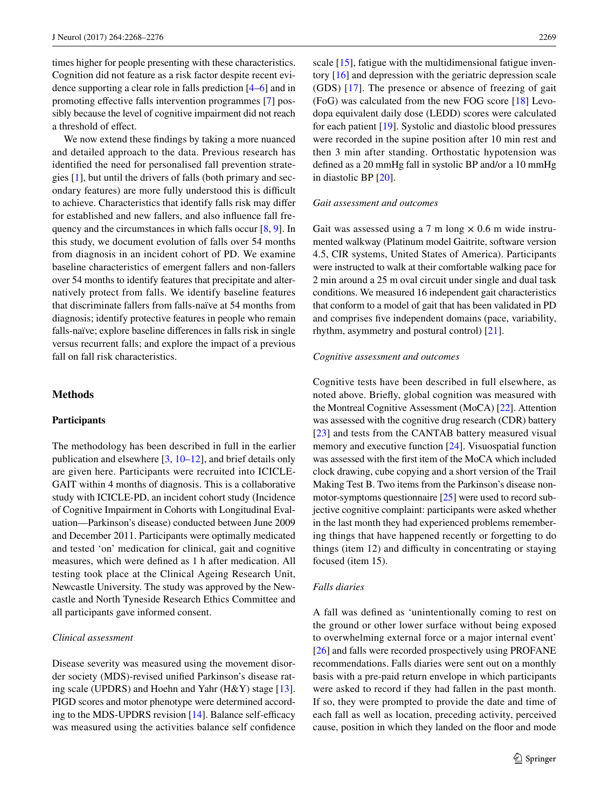times higher for people presenting with these characteristics. Cognition did not feature as a risk factor despite recent evidence supporting a clear role in falls prediction [[4–](#page-8-0)[6\]](#page-8-1) and in promoting efective falls intervention programmes [[7\]](#page-8-2) possibly because the level of cognitive impairment did not reach a threshold of efect.

We now extend these fndings by taking a more nuanced and detailed approach to the data. Previous research has identifed the need for personalised fall prevention strategies [[1](#page-7-0)], but until the drivers of falls (both primary and secondary features) are more fully understood this is difficult to achieve. Characteristics that identify falls risk may difer for established and new fallers, and also infuence fall frequency and the circumstances in which falls occur [[8,](#page-8-3) [9\]](#page-8-4). In this study, we document evolution of falls over 54 months from diagnosis in an incident cohort of PD. We examine baseline characteristics of emergent fallers and non-fallers over 54 months to identify features that precipitate and alternatively protect from falls. We identify baseline features that discriminate fallers from falls-naïve at 54 months from diagnosis; identify protective features in people who remain falls-naïve; explore baseline diferences in falls risk in single versus recurrent falls; and explore the impact of a previous fall on fall risk characteristics.

## **Methods**

#### **Participants**

The methodology has been described in full in the earlier publication and elsewhere [\[3](#page-7-2), [10](#page-8-5)[–12](#page-8-6)], and brief details only are given here. Participants were recruited into ICICLE-GAIT within 4 months of diagnosis. This is a collaborative study with ICICLE-PD, an incident cohort study (Incidence of Cognitive Impairment in Cohorts with Longitudinal Evaluation—Parkinson's disease) conducted between June 2009 and December 2011. Participants were optimally medicated and tested 'on' medication for clinical, gait and cognitive measures, which were defned as 1 h after medication. All testing took place at the Clinical Ageing Research Unit, Newcastle University. The study was approved by the Newcastle and North Tyneside Research Ethics Committee and all participants gave informed consent.

### *Clinical assessment*

Disease severity was measured using the movement disorder society (MDS)-revised unifed Parkinson's disease rating scale (UPDRS) and Hoehn and Yahr (H&Y) stage [\[13](#page-8-7)]. PIGD scores and motor phenotype were determined according to the MDS-UPDRS revision  $[14]$  $[14]$ . Balance self-efficacy was measured using the activities balance self confdence

scale [\[15](#page-8-9)], fatigue with the multidimensional fatigue inventory [\[16](#page-8-10)] and depression with the geriatric depression scale (GDS) [\[17\]](#page-8-11). The presence or absence of freezing of gait (FoG) was calculated from the new FOG score [[18](#page-8-12)] Levodopa equivalent daily dose (LEDD) scores were calculated for each patient [\[19](#page-8-13)]. Systolic and diastolic blood pressures were recorded in the supine position after 10 min rest and then 3 min after standing. Orthostatic hypotension was defned as a 20 mmHg fall in systolic BP and/or a 10 mmHg in diastolic BP [\[20](#page-8-14)].

#### *Gait assessment and outcomes*

Gait was assessed using a 7 m long  $\times$  0.6 m wide instrumented walkway (Platinum model Gaitrite, software version 4.5, CIR systems, United States of America). Participants were instructed to walk at their comfortable walking pace for 2 min around a 25 m oval circuit under single and dual task conditions. We measured 16 independent gait characteristics that conform to a model of gait that has been validated in PD and comprises fve independent domains (pace, variability, rhythm, asymmetry and postural control) [\[21](#page-8-15)].

#### *Cognitive assessment and outcomes*

Cognitive tests have been described in full elsewhere, as noted above. Briefy, global cognition was measured with the Montreal Cognitive Assessment (MoCA) [\[22](#page-8-16)]. Attention was assessed with the cognitive drug research (CDR) battery [[23\]](#page-8-17) and tests from the CANTAB battery measured visual memory and executive function [\[24](#page-8-18)]. Visuospatial function was assessed with the frst item of the MoCA which included clock drawing, cube copying and a short version of the Trail Making Test B. Two items from the Parkinson's disease nonmotor-symptoms questionnaire [\[25](#page-8-19)] were used to record subjective cognitive complaint: participants were asked whether in the last month they had experienced problems remembering things that have happened recently or forgetting to do things (item 12) and difficulty in concentrating or staying focused (item 15).

#### *Falls diaries*

A fall was defned as 'unintentionally coming to rest on the ground or other lower surface without being exposed to overwhelming external force or a major internal event' [\[26](#page-8-20)] and falls were recorded prospectively using PROFANE recommendations. Falls diaries were sent out on a monthly basis with a pre-paid return envelope in which participants were asked to record if they had fallen in the past month. If so, they were prompted to provide the date and time of each fall as well as location, preceding activity, perceived cause, position in which they landed on the foor and mode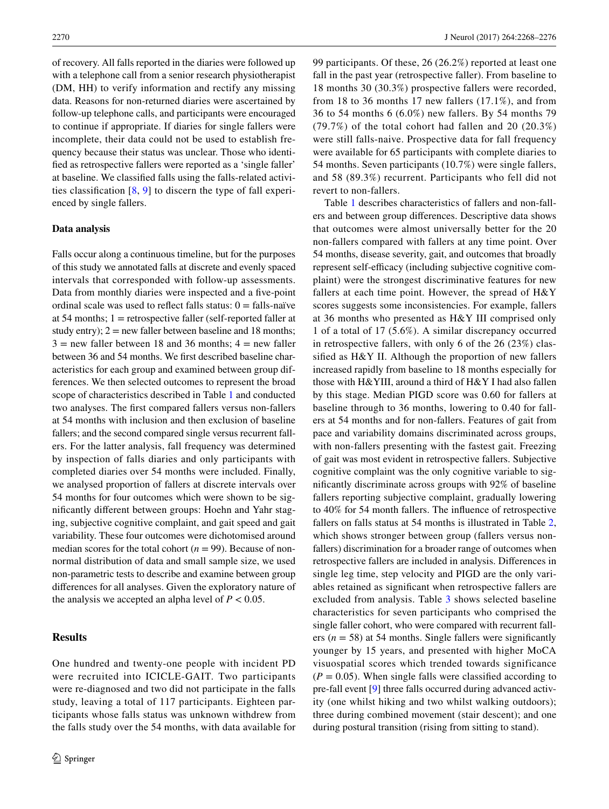of recovery. All falls reported in the diaries were followed up with a telephone call from a senior research physiotherapist (DM, HH) to verify information and rectify any missing data. Reasons for non-returned diaries were ascertained by follow-up telephone calls, and participants were encouraged to continue if appropriate. If diaries for single fallers were incomplete, their data could not be used to establish frequency because their status was unclear. Those who identifed as retrospective fallers were reported as a 'single faller' at baseline. We classifed falls using the falls-related activities classifcation [[8](#page-8-3), [9\]](#page-8-4) to discern the type of fall experienced by single fallers.

## **Data analysis**

Falls occur along a continuous timeline, but for the purposes of this study we annotated falls at discrete and evenly spaced intervals that corresponded with follow-up assessments. Data from monthly diaries were inspected and a fve-point ordinal scale was used to reflect falls status:  $0 =$  falls-naïve at 54 months;  $1 =$  retrospective faller (self-reported faller at study entry);  $2 = new$  faller between baseline and 18 months;  $3$  = new faller between 18 and 36 months;  $4$  = new faller between 36 and 54 months. We frst described baseline characteristics for each group and examined between group differences. We then selected outcomes to represent the broad scope of characteristics described in Table [1](#page-3-0) and conducted two analyses. The frst compared fallers versus non-fallers at 54 months with inclusion and then exclusion of baseline fallers; and the second compared single versus recurrent fallers. For the latter analysis, fall frequency was determined by inspection of falls diaries and only participants with completed diaries over 54 months were included. Finally, we analysed proportion of fallers at discrete intervals over 54 months for four outcomes which were shown to be signifcantly diferent between groups: Hoehn and Yahr staging, subjective cognitive complaint, and gait speed and gait variability. These four outcomes were dichotomised around median scores for the total cohort  $(n = 99)$ . Because of nonnormal distribution of data and small sample size, we used non-parametric tests to describe and examine between group diferences for all analyses. Given the exploratory nature of the analysis we accepted an alpha level of  $P < 0.05$ .

## **Results**

One hundred and twenty-one people with incident PD were recruited into ICICLE-GAIT. Two participants were re-diagnosed and two did not participate in the falls study, leaving a total of 117 participants. Eighteen participants whose falls status was unknown withdrew from the falls study over the 54 months, with data available for 99 participants. Of these, 26 (26.2%) reported at least one fall in the past year (retrospective faller). From baseline to 18 months 30 (30.3%) prospective fallers were recorded, from 18 to 36 months 17 new fallers (17.1%), and from 36 to 54 months 6 (6.0%) new fallers. By 54 months 79 (79.7%) of the total cohort had fallen and 20 (20.3%) were still falls-naive. Prospective data for fall frequency were available for 65 participants with complete diaries to 54 months. Seven participants (10.7%) were single fallers, and 58 (89.3%) recurrent. Participants who fell did not revert to non-fallers.

Table [1](#page-3-0) describes characteristics of fallers and non-fallers and between group diferences. Descriptive data shows that outcomes were almost universally better for the 20 non-fallers compared with fallers at any time point. Over 54 months, disease severity, gait, and outcomes that broadly represent self-efficacy (including subjective cognitive complaint) were the strongest discriminative features for new fallers at each time point. However, the spread of H&Y scores suggests some inconsistencies. For example, fallers at 36 months who presented as H&Y III comprised only 1 of a total of 17 (5.6%). A similar discrepancy occurred in retrospective fallers, with only 6 of the 26 (23%) classifed as H&Y II. Although the proportion of new fallers increased rapidly from baseline to 18 months especially for those with H&YIII, around a third of H&Y I had also fallen by this stage. Median PIGD score was 0.60 for fallers at baseline through to 36 months, lowering to 0.40 for fallers at 54 months and for non-fallers. Features of gait from pace and variability domains discriminated across groups, with non-fallers presenting with the fastest gait. Freezing of gait was most evident in retrospective fallers. Subjective cognitive complaint was the only cognitive variable to signifcantly discriminate across groups with 92% of baseline fallers reporting subjective complaint, gradually lowering to 40% for 54 month fallers. The infuence of retrospective fallers on falls status at 54 months is illustrated in Table [2,](#page-5-0) which shows stronger between group (fallers versus nonfallers) discrimination for a broader range of outcomes when retrospective fallers are included in analysis. Diferences in single leg time, step velocity and PIGD are the only variables retained as signifcant when retrospective fallers are excluded from analysis. Table [3](#page-5-1) shows selected baseline characteristics for seven participants who comprised the single faller cohort, who were compared with recurrent fallers  $(n = 58)$  at 54 months. Single fallers were significantly younger by 15 years, and presented with higher MoCA visuospatial scores which trended towards significance  $(P = 0.05)$ . When single falls were classified according to pre-fall event [\[9](#page-8-4)] three falls occurred during advanced activity (one whilst hiking and two whilst walking outdoors); three during combined movement (stair descent); and one during postural transition (rising from sitting to stand).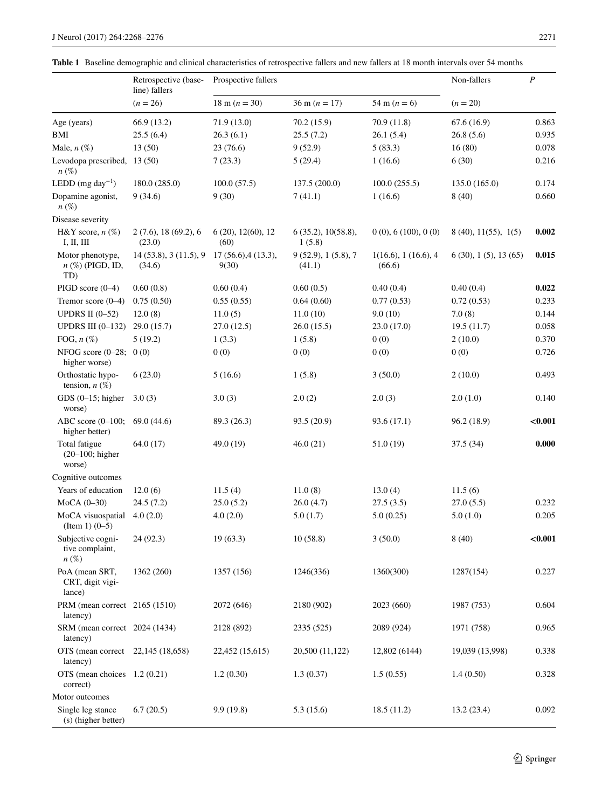<span id="page-3-0"></span>

|  |  |  |  | Table 1 Baseline demographic and clinical characteristics of retrospective fallers and new fallers at 18 month intervals over 54 months |
|--|--|--|--|-----------------------------------------------------------------------------------------------------------------------------------------|
|--|--|--|--|-----------------------------------------------------------------------------------------------------------------------------------------|

|                                                            | Retrospective (base-<br>line) fallers | Prospective fallers         |                              |                               | Non-fallers         | $\boldsymbol{P}$ |
|------------------------------------------------------------|---------------------------------------|-----------------------------|------------------------------|-------------------------------|---------------------|------------------|
|                                                            | $(n = 26)$                            | $18 \text{ m} (n = 30)$     | $36 \text{ m} (n = 17)$      | 54 m $(n = 6)$                | $(n = 20)$          |                  |
| Age (years)                                                | 66.9 (13.2)                           | 71.9(13.0)                  | 70.2(15.9)                   | 70.9(11.8)                    | 67.6(16.9)          | 0.863            |
| <b>BMI</b>                                                 | 25.5(6.4)                             | 26.3(6.1)                   | 25.5(7.2)                    | 26.1(5.4)                     | 26.8(5.6)           | 0.935            |
| Male, $n$ $(\%)$                                           | 13(50)                                | 23(76.6)                    | 9(52.9)                      | 5(83.3)                       | 16(80)              | 0.078            |
| Levodopa prescribed, 13 (50)<br>$n(\%)$                    |                                       | 7(23.3)                     | 5(29.4)                      | 1(16.6)                       | 6(30)               | 0.216            |
| LEDD (mg day <sup>-1</sup> )                               | 180.0 (285.0)                         | 100.0(57.5)                 | 137.5 (200.0)                | 100.0(255.5)                  | 135.0(165.0)        | 0.174            |
| Dopamine agonist,<br>$n(\%)$                               | 9(34.6)                               | 9(30)                       | 7(41.1)                      | 1(16.6)                       | 8(40)               | 0.660            |
| Disease severity                                           |                                       |                             |                              |                               |                     |                  |
| H&Y score, $n$ $(\%)$<br>I, II, III                        | $2(7.6)$ , 18 (69.2), 6<br>(23.0)     | 6(20), 12(60), 12<br>(60)   | 6(35.2), 10(58.8),<br>1(5.8) | 0(0), 6(100), 0(0)            | 8(40), 11(55), 1(5) | 0.002            |
| Motor phenotype,<br>$n$ (%) (PIGD, ID,<br>TD)              | 14 (53.8), 3 (11.5), 9<br>(34.6)      | 17(56.6), 4(13.3),<br>9(30) | 9(52.9), 1(5.8), 7<br>(41.1) | 1(16.6), 1(16.6), 4<br>(66.6) | 6(30), 1(5), 13(65) | 0.015            |
| $PIGD$ score $(0-4)$                                       | 0.60(0.8)                             | 0.60(0.4)                   | 0.60(0.5)                    | 0.40(0.4)                     | 0.40(0.4)           | 0.022            |
| Tremor score $(0-4)$                                       | 0.75(0.50)                            | 0.55(0.55)                  | 0.64(0.60)                   | 0.77(0.53)                    | 0.72(0.53)          | 0.233            |
| UPDRS II $(0-52)$                                          | 12.0(8)                               | 11.0(5)                     | 11.0(10)                     | 9.0(10)                       | 7.0(8)              | 0.144            |
| <b>UPDRS III (0-132)</b>                                   | 29.0(15.7)                            | 27.0(12.5)                  | 26.0(15.5)                   | 23.0(17.0)                    | 19.5(11.7)          | 0.058            |
| FOG, $n$ $(\%)$                                            | 5(19.2)                               | 1(3.3)                      | 1(5.8)                       | 0(0)                          | 2(10.0)             | 0.370            |
| NFOG score $(0-28; 0(0)$<br>higher worse)                  |                                       | 0(0)                        | 0(0)                         | 0(0)                          | 0(0)                | 0.726            |
| Orthostatic hypo-<br>tension, $n$ $(\%)$                   | 6(23.0)                               | 5(16.6)                     | 1(5.8)                       | 3(50.0)                       | 2(10.0)             | 0.493            |
| GDS $(0-15;$ higher<br>worse)                              | 3.0(3)                                | 3.0(3)                      | 2.0(2)                       | 2.0(3)                        | 2.0(1.0)            | 0.140            |
| ABC score $(0-100)$ ;<br>higher better)                    | 69.0(44.6)                            | 89.3 (26.3)                 | 93.5 (20.9)                  | 93.6(17.1)                    | 96.2 (18.9)         | ${<}0.001$       |
| Total fatigue<br>$(20-100;$ higher<br>worse)               | 64.0(17)                              | 49.0 (19)                   | 46.0(21)                     | 51.0(19)                      | 37.5(34)            | 0.000            |
| Cognitive outcomes                                         |                                       |                             |                              |                               |                     |                  |
| Years of education                                         | 12.0(6)                               | 11.5(4)                     | 11.0(8)                      | 13.0(4)                       | 11.5(6)             |                  |
| $MoCA(0-30)$                                               | 24.5(7.2)                             | 25.0(5.2)                   | 26.0(4.7)                    | 27.5(3.5)                     | 27.0(5.5)           | 0.232            |
| MoCA visuospatial<br>(Item 1) $(0-5)$                      | 4.0(2.0)                              | 4.0(2.0)                    | 5.0(1.7)                     | 5.0(0.25)                     | 5.0(1.0)            | 0.205            |
| Subjective cogni-<br>tive complaint,<br>$n\left(\%\right)$ | 24 (92.3)                             | 19(63.3)                    | 10(58.8)                     | 3(50.0)                       | 8(40)               | < 0.001          |
| PoA (mean SRT,<br>CRT, digit vigi-<br>lance)               | 1362 (260)                            | 1357 (156)                  | 1246(336)                    | 1360(300)                     | 1287(154)           | 0.227            |
| PRM (mean correct 2165 (1510)<br>latency)                  |                                       | 2072 (646)                  | 2180 (902)                   | 2023 (660)                    | 1987 (753)          | 0.604            |
| SRM (mean correct 2024 (1434)<br>latency)                  |                                       | 2128 (892)                  | 2335 (525)                   | 2089 (924)                    | 1971 (758)          | 0.965            |
| OTS (mean correct 22,145 (18,658)<br>latency)              |                                       | 22,452 (15,615)             | 20,500 (11,122)              | 12,802 (6144)                 | 19,039 (13,998)     | 0.338            |
| OTS (mean choices 1.2 (0.21)<br>correct)                   |                                       | 1.2(0.30)                   | 1.3(0.37)                    | 1.5(0.55)                     | 1.4(0.50)           | 0.328            |
| Motor outcomes                                             |                                       |                             |                              |                               |                     |                  |
| Single leg stance<br>(s) (higher better)                   | 6.7(20.5)                             | 9.9(19.8)                   | 5.3(15.6)                    | 18.5(11.2)                    | 13.2(23.4)          | 0.092            |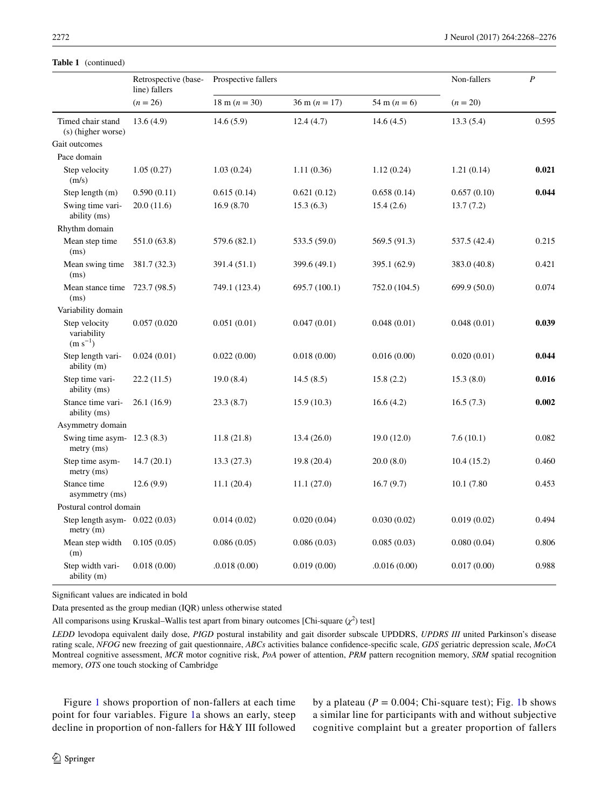|                                              | Retrospective (base-<br>line) fallers | Prospective fallers |                         |                | Non-fallers  | $\boldsymbol{P}$ |
|----------------------------------------------|---------------------------------------|---------------------|-------------------------|----------------|--------------|------------------|
|                                              | $(n = 26)$                            | 18 m $(n = 30)$     | $36 \text{ m} (n = 17)$ | 54 m $(n = 6)$ | $(n = 20)$   |                  |
| Timed chair stand<br>(s) (higher worse)      | 13.6(4.9)                             | 14.6(5.9)           | 12.4(4.7)               | 14.6(4.5)      | 13.3(5.4)    | 0.595            |
| Gait outcomes                                |                                       |                     |                         |                |              |                  |
| Pace domain                                  |                                       |                     |                         |                |              |                  |
| Step velocity<br>(m/s)                       | 1.05(0.27)                            | 1.03(0.24)          | 1.11(0.36)              | 1.12(0.24)     | 1.21(0.14)   | 0.021            |
| Step length (m)                              | 0.590(0.11)                           | 0.615(0.14)         | 0.621(0.12)             | 0.658(0.14)    | 0.657(0.10)  | 0.044            |
| Swing time vari-<br>ability (ms)             | 20.0(11.6)                            | 16.9 (8.70)         | 15.3(6.3)               | 15.4(2.6)      | 13.7(7.2)    |                  |
| Rhythm domain                                |                                       |                     |                         |                |              |                  |
| Mean step time<br>(ms)                       | 551.0 (63.8)                          | 579.6 (82.1)        | 533.5 (59.0)            | 569.5 (91.3)   | 537.5 (42.4) | 0.215            |
| Mean swing time<br>(ms)                      | 381.7 (32.3)                          | 391.4 (51.1)        | 399.6 (49.1)            | 395.1 (62.9)   | 383.0 (40.8) | 0.421            |
| Mean stance time<br>(ms)                     | 723.7 (98.5)                          | 749.1 (123.4)       | 695.7 (100.1)           | 752.0 (104.5)  | 699.9 (50.0) | 0.074            |
| Variability domain                           |                                       |                     |                         |                |              |                  |
| Step velocity<br>variability<br>$(m s^{-1})$ | 0.057(0.020)                          | 0.051(0.01)         | 0.047(0.01)             | 0.048(0.01)    | 0.048(0.01)  | 0.039            |
| Step length vari-<br>ability (m)             | 0.024(0.01)                           | 0.022(0.00)         | 0.018(0.00)             | 0.016(0.00)    | 0.020(0.01)  | 0.044            |
| Step time vari-<br>ability (ms)              | 22.2(11.5)                            | 19.0(8.4)           | 14.5(8.5)               | 15.8(2.2)      | 15.3(8.0)    | 0.016            |
| Stance time vari-<br>ability (ms)            | 26.1(16.9)                            | 23.3(8.7)           | 15.9(10.3)              | 16.6(4.2)      | 16.5(7.3)    | 0.002            |
| Asymmetry domain                             |                                       |                     |                         |                |              |                  |
| Swing time asym- $12.3(8.3)$<br>$metry$ (ms) |                                       | 11.8(21.8)          | 13.4(26.0)              | 19.0(12.0)     | 7.6(10.1)    | 0.082            |
| Step time asym-<br>metry (ms)                | 14.7(20.1)                            | 13.3(27.3)          | 19.8 (20.4)             | 20.0(8.0)      | 10.4(15.2)   | 0.460            |
| Stance time<br>asymmetry (ms)                | 12.6(9.9)                             | 11.1(20.4)          | 11.1(27.0)              | 16.7(9.7)      | 10.1 (7.80)  | 0.453            |
| Postural control domain                      |                                       |                     |                         |                |              |                  |
| Step length asym- $0.022(0.03)$<br>metry(m)  |                                       | 0.014(0.02)         | 0.020(0.04)             | 0.030(0.02)    | 0.019(0.02)  | 0.494            |
| Mean step width<br>(m)                       | 0.105(0.05)                           | 0.086(0.05)         | 0.086(0.03)             | 0.085(0.03)    | 0.080(0.04)  | 0.806            |
| Step width vari-<br>ability (m)              | 0.018(0.00)                           | .0.018(0.00)        | 0.019(0.00)             | .0.016(0.00)   | 0.017(0.00)  | 0.988            |

Signifcant values are indicated in bold

Data presented as the group median (IQR) unless otherwise stated

All comparisons using Kruskal–Wallis test apart from binary outcomes [Chi-square  $(\chi^2)$  test]

*LEDD* levodopa equivalent daily dose, *PIGD* postural instability and gait disorder subscale UPDDRS, *UPDRS III* united Parkinson's disease rating scale, *NFOG* new freezing of gait questionnaire, *ABCs* activities balance confdence-specifc scale, *GDS* geriatric depression scale, *MoCA* Montreal cognitive assessment, *MCR* motor cognitive risk, *PoA* power of attention, *PRM* pattern recognition memory, *SRM* spatial recognition memory, *OTS* one touch stocking of Cambridge

Figure [1](#page-6-0) shows proportion of non-fallers at each time point for four variables. Figure [1a](#page-6-0) shows an early, steep decline in proportion of non-fallers for H&Y III followed by a plateau ( $P = 0.004$ ; Chi-square test); Fig. [1b](#page-6-0) shows a similar line for participants with and without subjective cognitive complaint but a greater proportion of fallers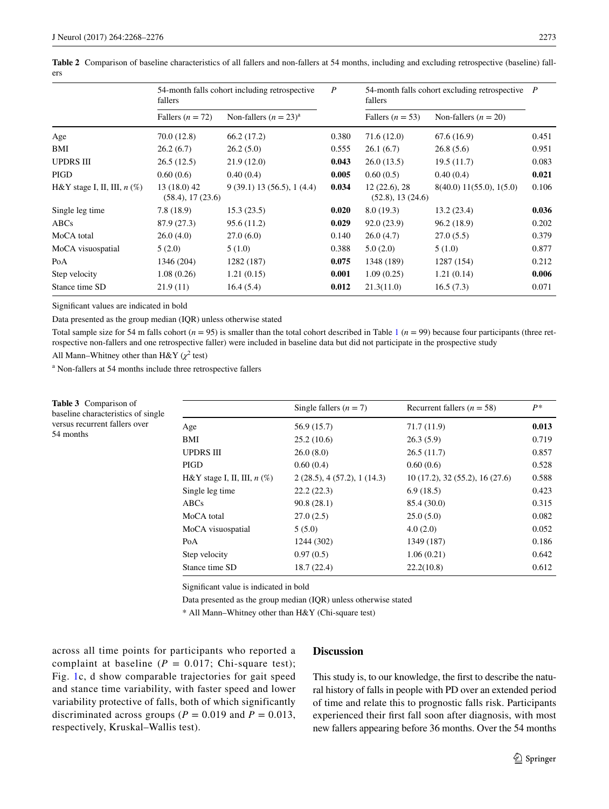|                               | 54-month falls cohort including retrospective<br>fallers |                          | $\boldsymbol{P}$ | 54-month falls cohort excluding retrospective<br>fallers |                            | $\overline{P}$ |
|-------------------------------|----------------------------------------------------------|--------------------------|------------------|----------------------------------------------------------|----------------------------|----------------|
|                               | Fallers $(n = 72)$                                       | Non-fallers $(n = 23)^a$ |                  | Fallers $(n = 53)$                                       | Non-fallers $(n = 20)$     |                |
| Age                           | 70.0 (12.8)                                              | 66.2 (17.2)              | 0.380            | 71.6 (12.0)                                              | 67.6(16.9)                 | 0.451          |
| BMI                           | 26.2(6.7)                                                | 26.2(5.0)                | 0.555            | 26.1(6.7)                                                | 26.8(5.6)                  | 0.951          |
| <b>UPDRS III</b>              | 26.5(12.5)                                               | 21.9(12.0)               | 0.043            | 26.0(13.5)                                               | 19.5(11.7)                 | 0.083          |
| PIGD                          | 0.60(0.6)                                                | 0.40(0.4)                | 0.005            | 0.60(0.5)                                                | 0.40(0.4)                  | 0.021          |
| H&Y stage I, II, III, $n$ (%) | 13 (18.0) 42<br>(58.4), 17(23.6)                         | 9(39.1) 13(56.5), 1(4.4) | 0.034            | 12(22.6), 28<br>(52.8), 13(24.6)                         | $8(40.0)$ 11(55.0), 1(5.0) | 0.106          |
| Single leg time               | 7.8(18.9)                                                | 15.3(23.5)               | 0.020            | 8.0(19.3)                                                | 13.2(23.4)                 | 0.036          |
| ABCs                          | 87.9 (27.3)                                              | 95.6 (11.2)              | 0.029            | 92.0(23.9)                                               | 96.2 (18.9)                | 0.202          |
| MoCA total                    | 26.0(4.0)                                                | 27.0(6.0)                | 0.140            | 26.0(4.7)                                                | 27.0(5.5)                  | 0.379          |
| MoCA visuospatial             | 5(2.0)                                                   | 5(1.0)                   | 0.388            | 5.0(2.0)                                                 | 5(1.0)                     | 0.877          |
| PoA                           | 1346 (204)                                               | 1282 (187)               | 0.075            | 1348 (189)                                               | 1287 (154)                 | 0.212          |
| Step velocity                 | 1.08(0.26)                                               | 1.21(0.15)               | 0.001            | 1.09(0.25)                                               | 1.21(0.14)                 | 0.006          |
| Stance time SD                | 21.9(11)                                                 | 16.4(5.4)                | 0.012            | 21.3(11.0)                                               | 16.5(7.3)                  | 0.071          |

<span id="page-5-0"></span>**Table 2** Comparison of baseline characteristics of all fallers and non-fallers at 54 months, including and excluding retrospective (baseline) fallers

Signifcant values are indicated in bold

Data presented as the group median (IQR) unless otherwise stated

Total sample size for 54 m falls cohort ( $n = 95$ ) is smaller than the total cohort described in Table [1](#page-3-0) ( $n = 99$ ) because four participants (three retrospective non-fallers and one retrospective faller) were included in baseline data but did not participate in the prospective study

All Mann–Whitney other than H&Y  $(\chi^2 \text{ test})$ 

a Non-fallers at 54 months include three retrospective fallers

<span id="page-5-1"></span>

| <b>Table 3</b> Comparison of<br>baseline characteristics of single |                               | Single fallers $(n = 7)$  | Recurrent fallers ( $n = 58$ ) | $P^*$ |
|--------------------------------------------------------------------|-------------------------------|---------------------------|--------------------------------|-------|
| versus recurrent fallers over                                      | Age                           | 56.9 (15.7)               | 71.7 (11.9)                    | 0.013 |
| 54 months                                                          | BMI                           | 25.2(10.6)                | 26.3(5.9)                      | 0.719 |
|                                                                    | <b>UPDRS III</b>              | 26.0(8.0)                 | 26.5(11.7)                     | 0.857 |
|                                                                    | PIGD                          | 0.60(0.4)                 | 0.60(0.6)                      | 0.528 |
|                                                                    | H&Y stage I, II, III, $n$ (%) | 2(28.5), 4(57.2), 1(14.3) | 10(17.2), 32(55.2), 16(27.6)   | 0.588 |
|                                                                    | Single leg time               | 22.2(22.3)                | 6.9(18.5)                      | 0.423 |
|                                                                    | ABC <sub>S</sub>              | 90.8(28.1)                | 85.4 (30.0)                    | 0.315 |
|                                                                    | MoCA total                    | 27.0(2.5)                 | 25.0(5.0)                      | 0.082 |
|                                                                    | MoCA visuospatial             | 5(5.0)                    | 4.0(2.0)                       | 0.052 |
|                                                                    | PoA                           | 1244 (302)                | 1349 (187)                     | 0.186 |
|                                                                    | Step velocity                 | 0.97(0.5)                 | 1.06(0.21)                     | 0.642 |
|                                                                    | Stance time SD                | 18.7(22.4)                | 22.2(10.8)                     | 0.612 |

Signifcant value is indicated in bold

Data presented as the group median (IQR) unless otherwise stated

\* All Mann–Whitney other than H&Y (Chi-square test)

across all time points for participants who reported a complaint at baseline  $(P = 0.017;$  Chi-square test); Fig. [1](#page-6-0)c, d show comparable trajectories for gait speed and stance time variability, with faster speed and lower variability protective of falls, both of which significantly discriminated across groups ( $P = 0.019$  and  $P = 0.013$ , respectively, Kruskal–Wallis test).

## **Discussion**

This study is, to our knowledge, the frst to describe the natural history of falls in people with PD over an extended period of time and relate this to prognostic falls risk. Participants experienced their frst fall soon after diagnosis, with most new fallers appearing before 36 months. Over the 54 months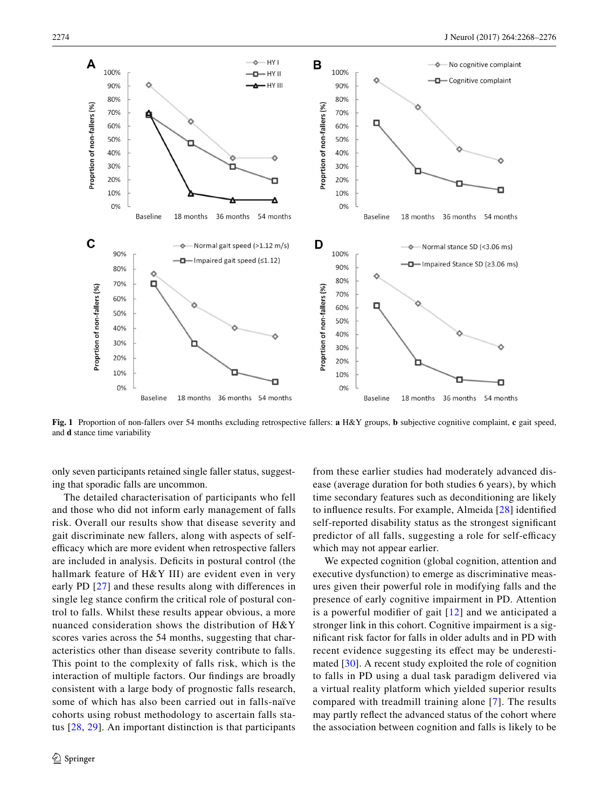

<span id="page-6-0"></span>**Fig. 1** Proportion of non-fallers over 54 months excluding retrospective fallers: **a** H&Y groups, **b** subjective cognitive complaint, **c** gait speed, and **d** stance time variability

only seven participants retained single faller status, suggesting that sporadic falls are uncommon.

The detailed characterisation of participants who fell and those who did not inform early management of falls risk. Overall our results show that disease severity and gait discriminate new fallers, along with aspects of selfefficacy which are more evident when retrospective fallers are included in analysis. Deficits in postural control (the hallmark feature of H&Y III) are evident even in very early PD [\[27\]](#page-8-21) and these results along with diferences in single leg stance confrm the critical role of postural control to falls. Whilst these results appear obvious, a more nuanced consideration shows the distribution of H&Y scores varies across the 54 months, suggesting that characteristics other than disease severity contribute to falls. This point to the complexity of falls risk, which is the interaction of multiple factors. Our fndings are broadly consistent with a large body of prognostic falls research, some of which has also been carried out in falls-naïve cohorts using robust methodology to ascertain falls status [[28](#page-8-22), [29\]](#page-8-23). An important distinction is that participants from these earlier studies had moderately advanced disease (average duration for both studies 6 years), by which time secondary features such as deconditioning are likely to infuence results. For example, Almeida [[28\]](#page-8-22) identifed self-reported disability status as the strongest signifcant predictor of all falls, suggesting a role for self-efficacy which may not appear earlier.

We expected cognition (global cognition, attention and executive dysfunction) to emerge as discriminative measures given their powerful role in modifying falls and the presence of early cognitive impairment in PD. Attention is a powerful modifier of gait  $[12]$  $[12]$  and we anticipated a stronger link in this cohort. Cognitive impairment is a signifcant risk factor for falls in older adults and in PD with recent evidence suggesting its efect may be underestimated [\[30\]](#page-8-24). A recent study exploited the role of cognition to falls in PD using a dual task paradigm delivered via a virtual reality platform which yielded superior results compared with treadmill training alone [[7](#page-8-2)]. The results may partly refect the advanced status of the cohort where the association between cognition and falls is likely to be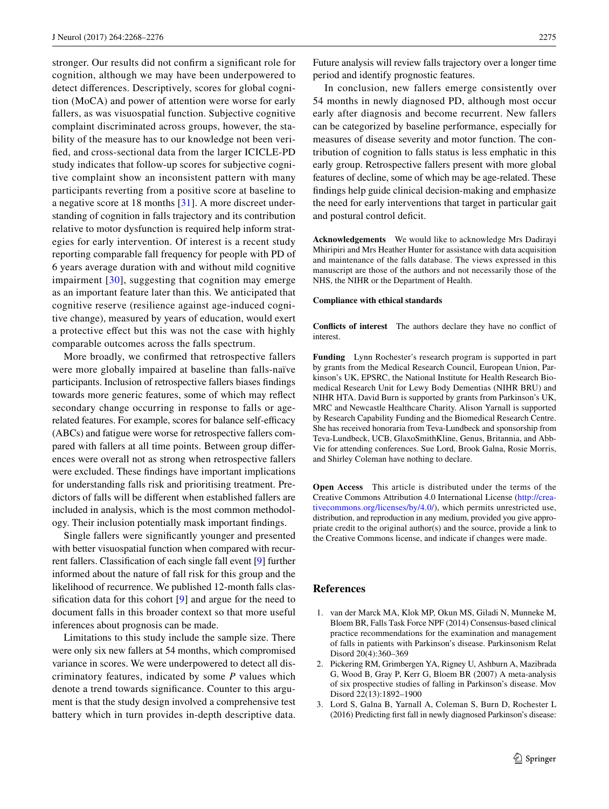stronger. Our results did not confrm a signifcant role for cognition, although we may have been underpowered to detect diferences. Descriptively, scores for global cognition (MoCA) and power of attention were worse for early fallers, as was visuospatial function. Subjective cognitive complaint discriminated across groups, however, the stability of the measure has to our knowledge not been verifed, and cross-sectional data from the larger ICICLE-PD study indicates that follow-up scores for subjective cognitive complaint show an inconsistent pattern with many participants reverting from a positive score at baseline to a negative score at 18 months [[31](#page-8-25)]. A more discreet understanding of cognition in falls trajectory and its contribution relative to motor dysfunction is required help inform strategies for early intervention. Of interest is a recent study reporting comparable fall frequency for people with PD of 6 years average duration with and without mild cognitive impairment  $[30]$  $[30]$  $[30]$ , suggesting that cognition may emerge as an important feature later than this. We anticipated that cognitive reserve (resilience against age-induced cognitive change), measured by years of education, would exert a protective efect but this was not the case with highly comparable outcomes across the falls spectrum.

More broadly, we confrmed that retrospective fallers were more globally impaired at baseline than falls-naïve participants. Inclusion of retrospective fallers biases fndings towards more generic features, some of which may refect secondary change occurring in response to falls or agerelated features. For example, scores for balance self-efficacy (ABCs) and fatigue were worse for retrospective fallers compared with fallers at all time points. Between group diferences were overall not as strong when retrospective fallers were excluded. These fndings have important implications for understanding falls risk and prioritising treatment. Predictors of falls will be diferent when established fallers are included in analysis, which is the most common methodology. Their inclusion potentially mask important fndings.

Single fallers were signifcantly younger and presented with better visuospatial function when compared with recurrent fallers. Classifcation of each single fall event [\[9](#page-8-4)] further informed about the nature of fall risk for this group and the likelihood of recurrence. We published 12-month falls classifcation data for this cohort [[9\]](#page-8-4) and argue for the need to document falls in this broader context so that more useful inferences about prognosis can be made.

Limitations to this study include the sample size. There were only six new fallers at 54 months, which compromised variance in scores. We were underpowered to detect all discriminatory features, indicated by some *P* values which denote a trend towards signifcance. Counter to this argument is that the study design involved a comprehensive test battery which in turn provides in-depth descriptive data.

Future analysis will review falls trajectory over a longer time period and identify prognostic features.

In conclusion, new fallers emerge consistently over 54 months in newly diagnosed PD, although most occur early after diagnosis and become recurrent. New fallers can be categorized by baseline performance, especially for measures of disease severity and motor function. The contribution of cognition to falls status is less emphatic in this early group. Retrospective fallers present with more global features of decline, some of which may be age-related. These fndings help guide clinical decision-making and emphasize the need for early interventions that target in particular gait and postural control deficit.

**Acknowledgements** We would like to acknowledge Mrs Dadirayi Mhiripiri and Mrs Heather Hunter for assistance with data acquisition and maintenance of the falls database. The views expressed in this manuscript are those of the authors and not necessarily those of the NHS, the NIHR or the Department of Health.

#### **Compliance with ethical standards**

**Conficts of interest** The authors declare they have no confict of interest.

**Funding** Lynn Rochester's research program is supported in part by grants from the Medical Research Council, European Union, Parkinson's UK, EPSRC, the National Institute for Health Research Biomedical Research Unit for Lewy Body Dementias (NIHR BRU) and NIHR HTA. David Burn is supported by grants from Parkinson's UK, MRC and Newcastle Healthcare Charity. Alison Yarnall is supported by Research Capability Funding and the Biomedical Research Centre. She has received honoraria from Teva-Lundbeck and sponsorship from Teva-Lundbeck, UCB, GlaxoSmithKline, Genus, Britannia, and Abb-Vie for attending conferences. Sue Lord, Brook Galna, Rosie Morris, and Shirley Coleman have nothing to declare.

**Open Access** This article is distributed under the terms of the Creative Commons Attribution 4.0 International License ([http://crea](http://creativecommons.org/licenses/by/4.0/)[tivecommons.org/licenses/by/4.0/\)](http://creativecommons.org/licenses/by/4.0/), which permits unrestricted use, distribution, and reproduction in any medium, provided you give appropriate credit to the original author(s) and the source, provide a link to the Creative Commons license, and indicate if changes were made.

### **References**

- <span id="page-7-0"></span>1. van der Marck MA, Klok MP, Okun MS, Giladi N, Munneke M, Bloem BR, Falls Task Force NPF (2014) Consensus-based clinical practice recommendations for the examination and management of falls in patients with Parkinson's disease. Parkinsonism Relat Disord 20(4):360–369
- <span id="page-7-1"></span>2. Pickering RM, Grimbergen YA, Rigney U, Ashburn A, Mazibrada G, Wood B, Gray P, Kerr G, Bloem BR (2007) A meta-analysis of six prospective studies of falling in Parkinson's disease. Mov Disord 22(13):1892–1900
- <span id="page-7-2"></span>3. Lord S, Galna B, Yarnall A, Coleman S, Burn D, Rochester L (2016) Predicting frst fall in newly diagnosed Parkinson's disease: